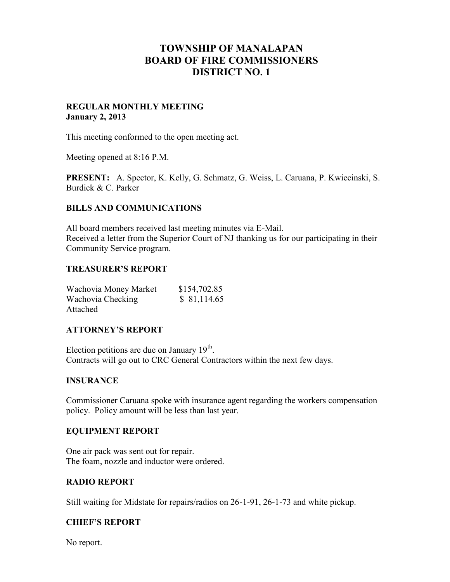# **TOWNSHIP OF MANALAPAN BOARD OF FIRE COMMISSIONERS DISTRICT NO. 1**

#### **REGULAR MONTHLY MEETING January 2, 2013**

This meeting conformed to the open meeting act.

Meeting opened at 8:16 P.M.

**PRESENT:** A. Spector, K. Kelly, G. Schmatz, G. Weiss, L. Caruana, P. Kwiecinski, S. Burdick & C. Parker

## **BILLS AND COMMUNICATIONS**

All board members received last meeting minutes via E-Mail. Received a letter from the Superior Court of NJ thanking us for our participating in their Community Service program.

#### **TREASURER'S REPORT**

| Wachovia Money Market | \$154,702.85 |
|-----------------------|--------------|
| Wachovia Checking     | \$81,114.65  |
| Attached              |              |

#### **ATTORNEY'S REPORT**

Election petitions are due on January 19<sup>th</sup>. Contracts will go out to CRC General Contractors within the next few days.

#### **INSURANCE**

Commissioner Caruana spoke with insurance agent regarding the workers compensation policy. Policy amount will be less than last year.

#### **EQUIPMENT REPORT**

One air pack was sent out for repair. The foam, nozzle and inductor were ordered.

#### **RADIO REPORT**

Still waiting for Midstate for repairs/radios on 26-1-91, 26-1-73 and white pickup.

#### **CHIEF'S REPORT**

No report.